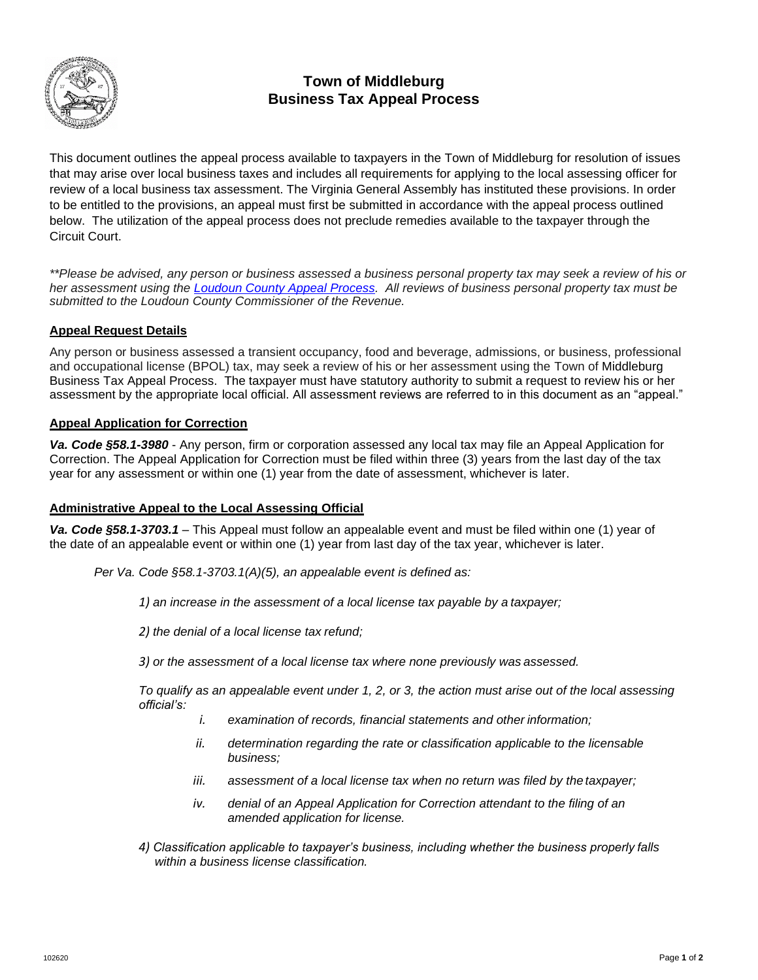

# **Town of Middleburg Business Tax Appeal Process**

This document outlines the appeal process available to taxpayers in the Town of Middleburg for resolution of issues that may arise over local business taxes and includes all requirements for applying to the local assessing officer for review of a local business tax assessment. The Virginia General Assembly has instituted these provisions. In order to be entitled to the provisions, an appeal must first be submitted in accordance with the appeal process outlined below. The utilization of the appeal process does not preclude remedies available to the taxpayer through the Circuit Court.

*\*\*Please be advised, any person or business assessed a business personal property tax may seek a review of his or her assessment using the [Loudoun County Appeal Process.](https://www.loudoun.gov/3948/Business-Tax-Appeals) All reviews of business personal property tax must be submitted to the Loudoun County Commissioner of the Revenue.*

## **Appeal Request Details**

Any person or business assessed a transient occupancy, food and beverage, admissions, or business, professional and occupational license (BPOL) tax, may seek a review of his or her assessment using the Town of [Middleburg](https://www.loudoun.gov/DocumentCenter/View/125259)  [Business Tax Appeal Process.](https://www.loudoun.gov/DocumentCenter/View/125259) The taxpayer must have statutory authority to submit a request to review his or her assessment by the appropriate local official. All assessment reviews are referred to in this document as an "appeal."

### **Appeal Application for Correction**

*Va. Code §58.1-3980* - Any person, firm or corporation assessed any local tax may file an Appeal Application for Correction. The Appeal Application for Correction must be filed within three (3) years from the last day of the tax year for any assessment or within one (1) year from the date of assessment, whichever is later.

### **Administrative Appeal to the Local Assessing Official**

*Va. Code §58.1-3703.1* – This Appeal must follow an appealable event and must be filed within one (1) year of the date of an appealable event or within one (1) year from last day of the tax year, whichever is later.

*Per Va. Code §58.1-3703.1(A)(5), an appealable event is defined as:*

*1) an increase in the assessment of a local license tax payable by a taxpayer;*

*2) the denial of a local license tax refund;*

*3) or the assessment of a local license tax where none previously was assessed.*

*To qualify as an appealable event under 1, 2, or 3, the action must arise out of the local assessing official's:*

- *i. examination of records, financial statements and other information;*
- *ii. determination regarding the rate or classification applicable to the licensable business;*
- *iii.* assessment of a local license tax when no return was filed by the taxpayer;
- *iv. denial of an Appeal Application for Correction attendant to the filing of an amended application for license.*
- *4) Classification applicable to taxpayer's business, including whether the business properly falls within a business license classification.*